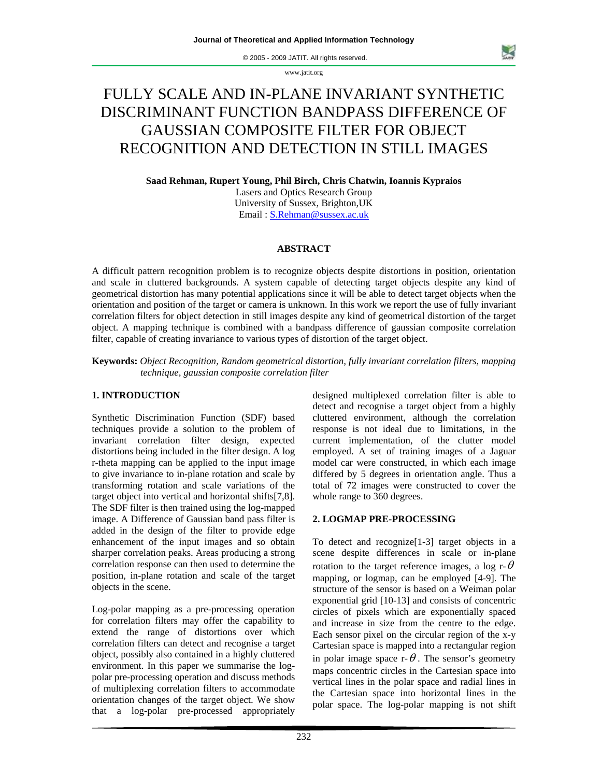© 2005 - 2009 JATIT. All rights reserved.

www.jatit.org

# FULLY SCALE AND IN-PLANE INVARIANT SYNTHETIC DISCRIMINANT FUNCTION BANDPASS DIFFERENCE OF GAUSSIAN COMPOSITE FILTER FOR OBJECT RECOGNITION AND DETECTION IN STILL IMAGES

**Saad Rehman, Rupert Young, Phil Birch, Chris Chatwin, Ioannis Kypraios**  Lasers and Optics Research Group University of Sussex, Brighton,UK Email : S.Rehman@sussex.ac.uk

## **ABSTRACT**

A difficult pattern recognition problem is to recognize objects despite distortions in position, orientation and scale in cluttered backgrounds. A system capable of detecting target objects despite any kind of geometrical distortion has many potential applications since it will be able to detect target objects when the orientation and position of the target or camera is unknown. In this work we report the use of fully invariant correlation filters for object detection in still images despite any kind of geometrical distortion of the target object. A mapping technique is combined with a bandpass difference of gaussian composite correlation filter, capable of creating invariance to various types of distortion of the target object.

**Keywords:** *Object Recognition, Random geometrical distortion, fully invariant correlation filters, mapping technique, gaussian composite correlation filter*

# **1. INTRODUCTION**

Synthetic Discrimination Function (SDF) based techniques provide a solution to the problem of invariant correlation filter design, expected distortions being included in the filter design. A log r-theta mapping can be applied to the input image to give invariance to in-plane rotation and scale by transforming rotation and scale variations of the target object into vertical and horizontal shifts[7,8]. The SDF filter is then trained using the log-mapped image. A Difference of Gaussian band pass filter is added in the design of the filter to provide edge enhancement of the input images and so obtain sharper correlation peaks. Areas producing a strong correlation response can then used to determine the position, in-plane rotation and scale of the target objects in the scene.

Log-polar mapping as a pre-processing operation for correlation filters may offer the capability to extend the range of distortions over which correlation filters can detect and recognise a target object, possibly also contained in a highly cluttered environment. In this paper we summarise the logpolar pre-processing operation and discuss methods of multiplexing correlation filters to accommodate orientation changes of the target object. We show that a log-polar pre-processed appropriately designed multiplexed correlation filter is able to detect and recognise a target object from a highly cluttered environment, although the correlation response is not ideal due to limitations, in the current implementation, of the clutter model employed. A set of training images of a Jaguar model car were constructed, in which each image differed by 5 degrees in orientation angle. Thus a total of 72 images were constructed to cover the whole range to 360 degrees.

# **2. LOGMAP PRE-PROCESSING**

To detect and recognize[1-3] target objects in a scene despite differences in scale or in-plane rotation to the target reference images, a log r- $\theta$ mapping, or logmap, can be employed [4-9]. The structure of the sensor is based on a Weiman polar exponential grid [10-13] and consists of concentric circles of pixels which are exponentially spaced and increase in size from the centre to the edge. Each sensor pixel on the circular region of the x-y Cartesian space is mapped into a rectangular region in polar image space  $r - \theta$ . The sensor's geometry maps concentric circles in the Cartesian space into vertical lines in the polar space and radial lines in the Cartesian space into horizontal lines in the polar space. The log-polar mapping is not shift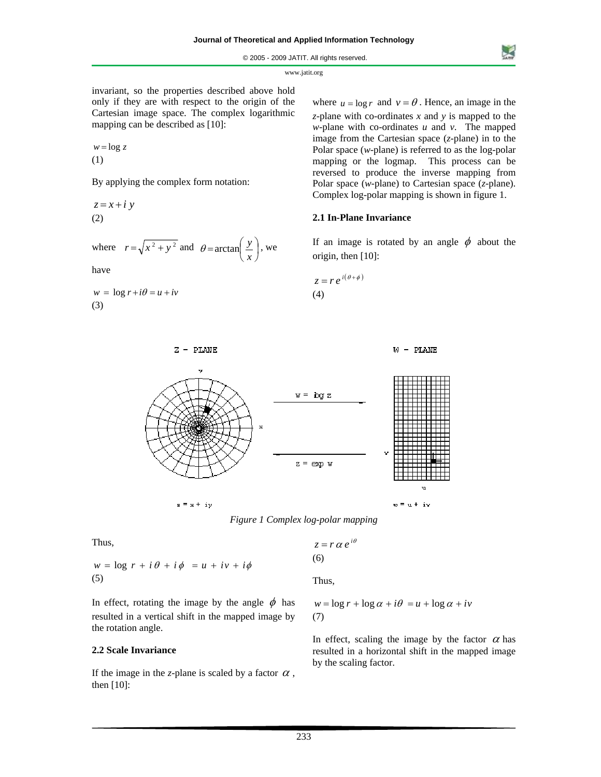© 2005 - 2009 JATIT. All rights reserved.

## www.jatit.org

invariant, so the properties described above hold only if they are with respect to the origin of the Cartesian image space. The complex logarithmic mapping can be described as [10]:

 $w = \log z$ (1)

By applying the complex form notation:

 $z = x + i y$ (2)

where  $r = \sqrt{x^2 + y^2}$  and  $\theta = \arctan\left(\frac{y}{x}\right)$ ⎠  $\left(\frac{y}{x}\right)$  $\theta = \arctan\left(\frac{y}{x}\right)$ , we

have

 $w = \log r + i\theta = u + iv$ (3)

where  $u = \log r$  and  $v = \theta$ . Hence, an image in the *z*-plane with co-ordinates *x* and *y* is mapped to the *w*-plane with co-ordinates *u* and *v*. The mapped image from the Cartesian space (*z*-plane) in to the Polar space (*w-*plane) is referred to as the log-polar mapping or the logmap. This process can be reversed to produce the inverse mapping from Polar space (*w*-plane) to Cartesian space (*z*-plane). Complex log-polar mapping is shown in figure 1.

## **2.1 In-Plane Invariance**

If an image is rotated by an angle  $\phi$  about the origin, then [10]:

$$
z = r e^{i(\theta + \phi)}
$$
  
(4)



*Figure 1 Complex log-polar mapping* 

Thus,

$$
z = r \alpha e^{i\theta}
$$
  
(6)

 $w = \log r + i\theta + i\phi = u + iv + i\phi$ (5)

Thus,

In effect, rotating the image by the angle  $\phi$  has resulted in a vertical shift in the mapped image by the rotation angle.

## **2.2 Scale Invariance**

If the image in the *z*-plane is scaled by a factor  $\alpha$ , then [10]:

$$
w = \log r + \log \alpha + i\theta = u + \log \alpha + iv
$$
  
(7)

In effect, scaling the image by the factor  $\alpha$  has resulted in a horizontal shift in the mapped image by the scaling factor.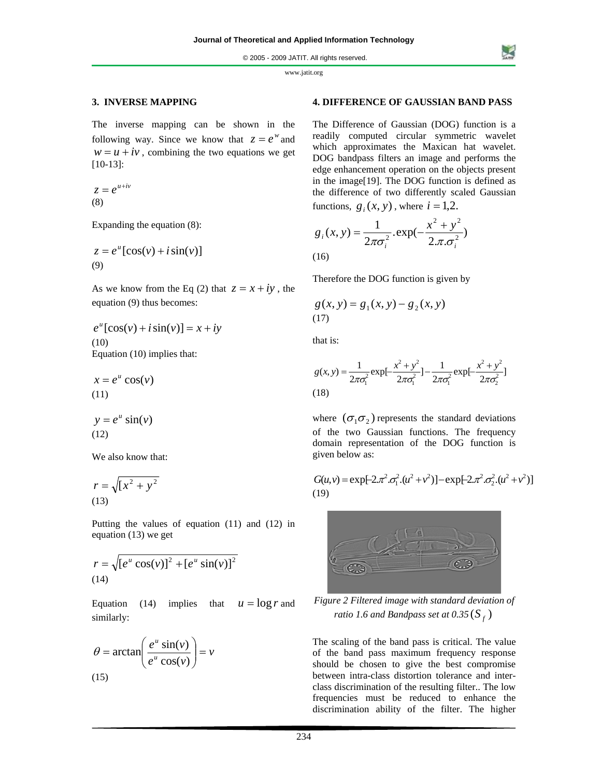## **3. INVERSE MAPPING**

The inverse mapping can be shown in the following way. Since we know that  $z = e^w$  and  $w = u + iv$ , combining the two equations we get [10-13]:

$$
z = e^{u+iv}
$$
  
(8)

Expanding the equation (8):

$$
z = e^{u} [\cos(v) + i \sin(v)]
$$
  
(9)

As we know from the Eq (2) that  $z = x + iy$ , the equation (9) thus becomes:

 $e^{u}$  [cos(*v*) + *i* sin(*v*)] =  $x + iy$ (10) Equation (10) implies that:

$$
x = e^u \cos(v)
$$
  
(11)

$$
y = e^u \sin(v)
$$
  
(12)

We also know that:

$$
r = \sqrt{x^2 + y^2}
$$
  
(13)

Putting the values of equation (11) and (12) in equation (13) we get

$$
r = \sqrt{[e^u \cos(v)]^2 + [e^u \sin(v)]^2}
$$
  
(14)

Equation (14) implies that  $u = \log r$  and similarly:

$$
\theta = \arctan\left(\frac{e^u \sin(v)}{e^u \cos(v)}\right) = v
$$
\n(15)

## **4. DIFFERENCE OF GAUSSIAN BAND PASS**

The Difference of Gaussian (DOG) function is a readily computed circular symmetric wavelet which approximates the Maxican hat wavelet. DOG bandpass filters an image and performs the edge enhancement operation on the objects present in the image[19]. The DOG function is defined as the difference of two differently scaled Gaussian functions,  $g_i(x, y)$ , where  $i = 1,2$ .

$$
g_i(x, y) = \frac{1}{2\pi\sigma_i^2} \cdot \exp(-\frac{x^2 + y^2}{2\pi\sigma_i^2})
$$
  
(16)

Therefore the DOG function is given by

$$
g(x, y) = g_1(x, y) - g_2(x, y)
$$
\n(17)

that is:

$$
g(x, y) = \frac{1}{2\pi\sigma_1^2} \exp\left[-\frac{x^2 + y^2}{2\pi\sigma_1^2}\right] - \frac{1}{2\pi\sigma_1^2} \exp\left[-\frac{x^2 + y^2}{2\pi\sigma_2^2}\right]
$$
\n(18)

where  $(\sigma_1 \sigma_2)$  represents the standard deviations of the two Gaussian functions. The frequency domain representation of the DOG function is given below as:

$$
G(u, v) = \exp[-2\pi^{2} \cdot \sigma_{1}^{2} \cdot (u^{2} + v^{2})] - \exp[-2\pi^{2} \cdot \sigma_{2}^{2} \cdot (u^{2} + v^{2})]
$$
  
(19)



*Figure 2 Filtered image with standard deviation of ratio 1.6 and Bandpass set at 0.35* ( $S_f$ )

The scaling of the band pass is critical. The value of the band pass maximum frequency response should be chosen to give the best compromise between intra-class distortion tolerance and interclass discrimination of the resulting filter.. The low frequencies must be reduced to enhance the discrimination ability of the filter. The higher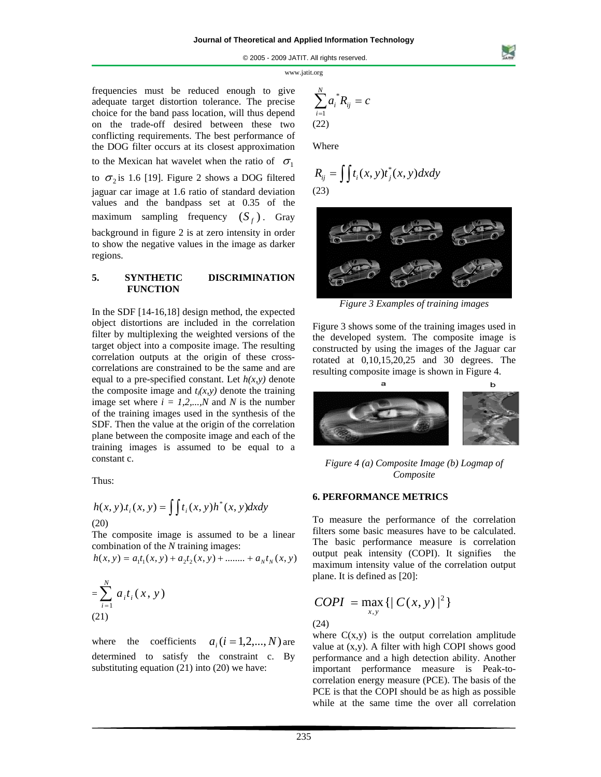frequencies must be reduced enough to give adequate target distortion tolerance. The precise choice for the band pass location, will thus depend on the trade-off desired between these two conflicting requirements. The best performance of the DOG filter occurs at its closest approximation to the Mexican hat wavelet when the ratio of  $\sigma_1$ to  $\sigma_2$  is 1.6 [19]. Figure 2 shows a DOG filtered jaguar car image at 1.6 ratio of standard deviation values and the bandpass set at 0.35 of the maximum sampling frequency  $(S_{\epsilon})$ . Gray background in figure 2 is at zero intensity in order to show the negative values in the image as darker regions.

## **5. SYNTHETIC DISCRIMINATION FUNCTION**

In the SDF [14-16,18] design method, the expected object distortions are included in the correlation filter by multiplexing the weighted versions of the target object into a composite image. The resulting correlation outputs at the origin of these crosscorrelations are constrained to be the same and are equal to a pre-specified constant. Let  $h(x, y)$  denote the composite image and  $t_i(x, y)$  denote the training image set where  $i = 1, 2, \dots, N$  and N is the number of the training images used in the synthesis of the SDF. Then the value at the origin of the correlation plane between the composite image and each of the training images is assumed to be equal to a constant c.

Thus:

$$
h(x, y) \cdot t_i(x, y) = \iint t_i(x, y) h^*(x, y) dx dy
$$
\n(20)

The composite image is assumed to be a linear combination of the *N* training images:

$$
h(x, y) = a_1 t_1(x, y) + a_2 t_2(x, y) + \dots + a_N t_N(x, y)
$$

$$
=\sum_{i=1}^{N} a_{i}t_{i}(x, y)
$$
\n(21)

where the coefficients  $a_i$  ( $i = 1, 2, ..., N$ ) are determined to satisfy the constraint c. By substituting equation (21) into (20) we have:

$$
\sum_{i=1}^N a_i^* R_{ij} = c
$$
\n(22)

Where

$$
R_{ij} = \iint t_i(x, y) t_j^*(x, y) dx dy
$$
\n(23)



*Figure 3 Examples of training images* 

Figure 3 shows some of the training images used in the developed system. The composite image is constructed by using the images of the Jaguar car rotated at 0,10,15,20,25 and 30 degrees. The resulting composite image is shown in Figure 4.



*Figure 4 (a) Composite Image (b) Logmap of Composite* 

## **6. PERFORMANCE METRICS**

To measure the performance of the correlation filters some basic measures have to be calculated. The basic performance measure is correlation output peak intensity (COPI). It signifies the maximum intensity value of the correlation output plane. It is defined as [20]:

$$
COPI = \max_{x,y} \{ |C(x,y)|^2 \}
$$

(24)

where  $C(x,y)$  is the output correlation amplitude value at (x,y). A filter with high COPI shows good performance and a high detection ability. Another important performance measure is Peak-tocorrelation energy measure (PCE). The basis of the PCE is that the COPI should be as high as possible while at the same time the over all correlation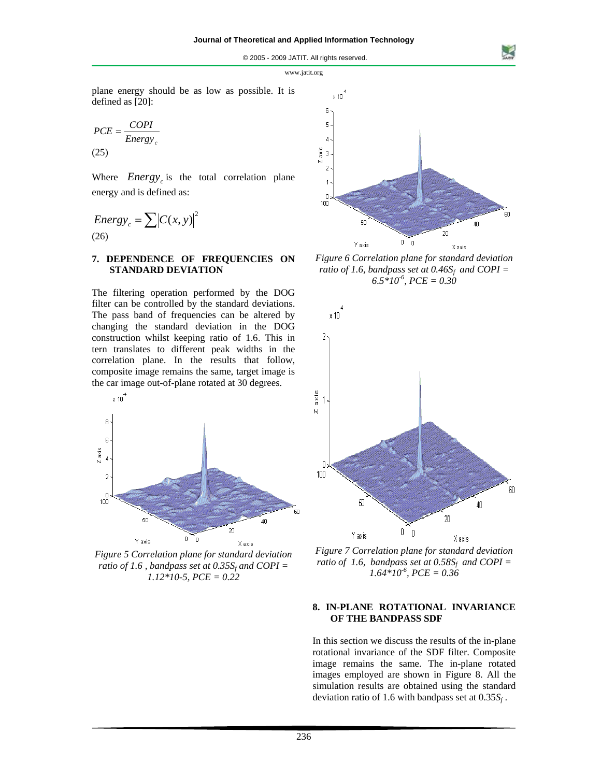plane energy should be as low as possible. It is defined as [20]:

$$
PCE = \frac{COPI}{Energy_c}
$$
  
(25)

Where  $Energy<sub>c</sub>$  is the total correlation plane energy and is defined as:

$$
Energy_c = \sum |C(x, y)|^2
$$
\n(26)

## **7. DEPENDENCE OF FREQUENCIES ON STANDARD DEVIATION**

The filtering operation performed by the DOG filter can be controlled by the standard deviations. The pass band of frequencies can be altered by changing the standard deviation in the DOG construction whilst keeping ratio of 1.6. This in tern translates to different peak widths in the correlation plane. In the results that follow, composite image remains the same, target image is the car image out-of-plane rotated at 30 degrees.



*Figure 5 Correlation plane for standard deviation ratio of 1.6, bandpass set at*  $0.35S_f$  *and COPI = 1.12\*10-5, PCE = 0.22* 



*Figure 6 Correlation plane for standard deviation ratio of 1.6, bandpass set at 0.46S<sub>f</sub> and COPI = 6.5\*10-6, PCE = 0.30* 



*Figure 7 Correlation plane for standard deviation ratio of 1.6, bandpass set at 0.58S<sub>f</sub> and COPI =*  $1.64*10^{6}$ ,  $PCE = 0.36$ 

## **8. IN-PLANE ROTATIONAL INVARIANCE OF THE BANDPASS SDF**

In this section we discuss the results of the in-plane rotational invariance of the SDF filter. Composite image remains the same. The in-plane rotated images employed are shown in Figure 8. All the simulation results are obtained using the standard deviation ratio of 1.6 with bandpass set at  $0.35S_f$ .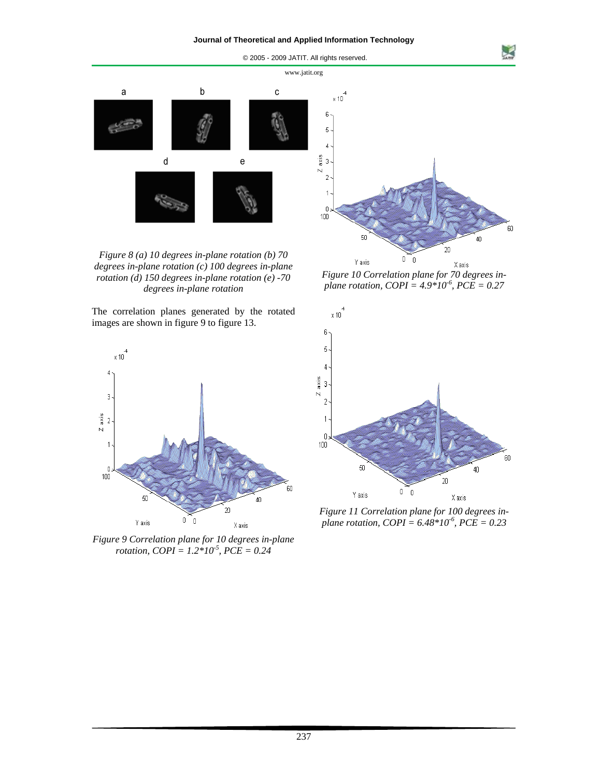

*Figure 8 (a) 10 degrees in-plane rotation (b) 70 degrees in-plane rotation (c) 100 degrees in-plane rotation (d) 150 degrees in-plane rotation (e) -70 degrees in-plane rotation* 

The correlation planes generated by the rotated images are shown in figure 9 to figure 13.



*Figure 9 Correlation plane for 10 degrees in-plane rotation, COPI = 1.2\*10-5, PCE = 0.24* 



*Figure 10 Correlation plane for 70 degrees inplane rotation, COPI = 4.9\*10-6, PCE = 0.27* 



*Figure 11 Correlation plane for 100 degrees inplane rotation, COPI = 6.48\*10-6, PCE = 0.23*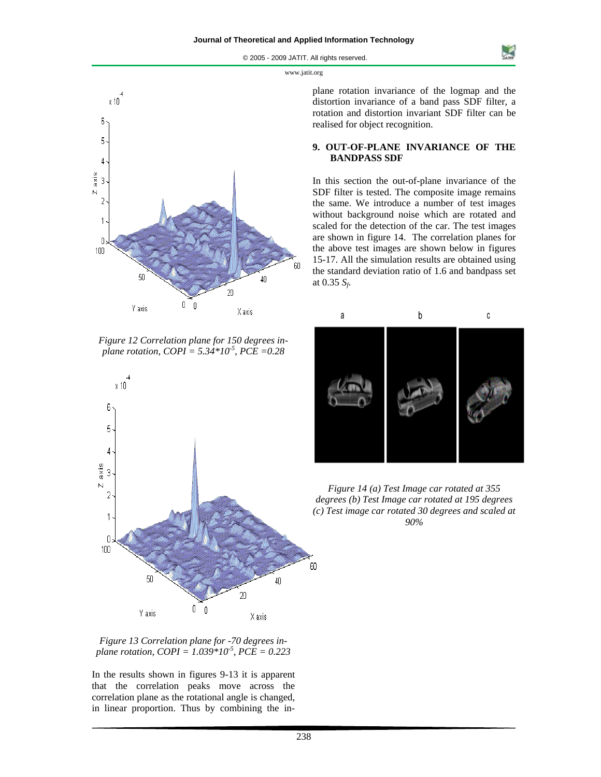

 $x$  10 6 5 4 Z axis 3 2  $\overline{1}$  $\mathbb O$ 100 50 20 0  $\bigcap$ Y axis X axis

*Figure 12 Correlation plane for 150 degrees inplane rotation, COPI* =  $5.34*10^{5}$ , *PCE* = 0.28





In the results shown in figures 9-13 it is apparent that the correlation peaks move across the correlation plane as the rotational angle is changed, in linear proportion. Thus by combining the inplane rotation invariance of the logmap and the distortion invariance of a band pass SDF filter, a rotation and distortion invariant SDF filter can be realised for object recognition.

## **9. OUT-OF-PLANE INVARIANCE OF THE BANDPASS SDF**

In this section the out-of-plane invariance of the SDF filter is tested. The composite image remains the same. We introduce a number of test images without background noise which are rotated and scaled for the detection of the car. The test images are shown in figure 14. The correlation planes for the above test images are shown below in figures 15-17. All the simulation results are obtained using the standard deviation ratio of 1.6 and bandpass set at 0.35 *Sf*.



*Figure 14 (a) Test Image car rotated at 355 degrees (b) Test Image car rotated at 195 degrees (c) Test image car rotated 30 degrees and scaled at 90%* 

60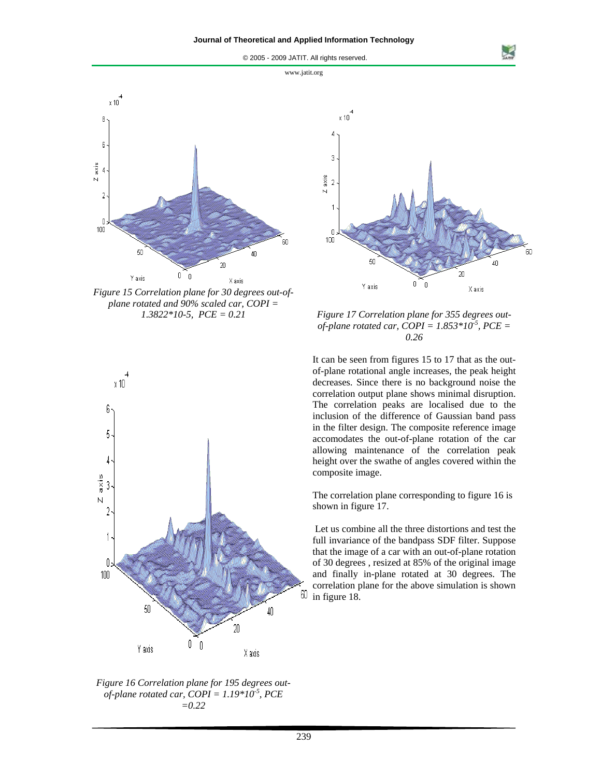

*Figure 15 Correlation plane for 30 degrees out-ofplane rotated and 90% scaled car, COPI = 1.3822\*10-5, PCE = 0.21* 



*Figure 17 Correlation plane for 355 degrees outof-plane rotated car, COPI = 1.853\*10-5, PCE = 0.26* 

It can be seen from figures 15 to 17 that as the outof-plane rotational angle increases, the peak height decreases. Since there is no background noise the correlation output plane shows minimal disruption. The correlation peaks are localised due to the inclusion of the difference of Gaussian band pass in the filter design. The composite reference image accomodates the out-of-plane rotation of the car allowing maintenance of the correlation peak height over the swathe of angles covered within the composite image.

The correlation plane corresponding to figure 16 is shown in figure 17.

 Let us combine all the three distortions and test the full invariance of the bandpass SDF filter. Suppose that the image of a car with an out-of-plane rotation of 30 degrees , resized at 85% of the original image and finally in-plane rotated at 30 degrees. The correlation plane for the above simulation is shown in figure 18.



*Figure 16 Correlation plane for 195 degrees outof-plane rotated car, COPI = 1.19\*10-5, PCE =0.22*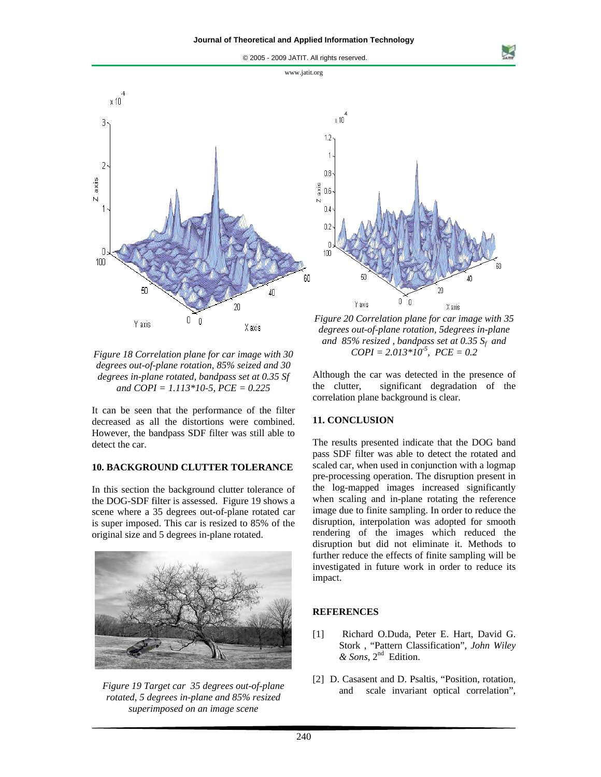

 $x$ 10 20  $\mathbf{0}$  $\sqrt{ }$ Y axis X axis

*Figure 20 Correlation plane for car image with 35 degrees out-of-plane rotation, 5degrees in-plane and 85% resized , bandpass set at 0.35 Sf and*   $COPI = 2.013 * 10^{-5}$ ,  $PCE = 0.2$ 

*Figure 18 Correlation plane for car image with 30 degrees out-of-plane rotation, 85% seized and 30 degrees in-plane rotated, bandpass set at 0.35 Sf and COPI = 1.113\*10-5, PCE = 0.225* 

It can be seen that the performance of the filter decreased as all the distortions were combined. However, the bandpass SDF filter was still able to detect the car.

# **10. BACKGROUND CLUTTER TOLERANCE**

In this section the background clutter tolerance of the DOG-SDF filter is assessed. Figure 19 shows a scene where a 35 degrees out-of-plane rotated car is super imposed. This car is resized to 85% of the original size and 5 degrees in-plane rotated.



*Figure 19 Target car 35 degrees out-of-plane rotated, 5 degrees in-plane and 85% resized superimposed on an image scene* 

Although the car was detected in the presence of the clutter, significant degradation of the correlation plane background is clear.

# **11. CONCLUSION**

The results presented indicate that the DOG band pass SDF filter was able to detect the rotated and scaled car, when used in conjunction with a logmap pre-processing operation. The disruption present in the log-mapped images increased significantly when scaling and in-plane rotating the reference image due to finite sampling. In order to reduce the disruption, interpolation was adopted for smooth rendering of the images which reduced the disruption but did not eliminate it. Methods to further reduce the effects of finite sampling will be investigated in future work in order to reduce its impact.

# **REFERENCES**

- [1] Richard O.Duda, Peter E. Hart, David G. Stork , "Pattern Classification", *John Wiley & Sons*, 2nd Edition.
- [2] D. Casasent and D. Psaltis, "Position, rotation, and scale invariant optical correlation",